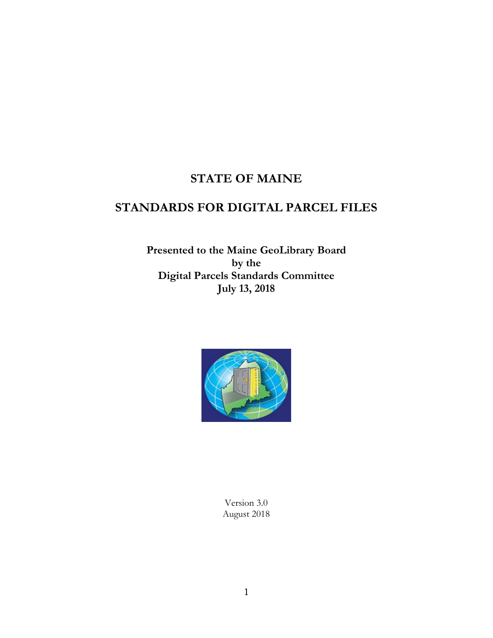# **STATE OF MAINE**

# **STANDARDS FOR DIGITAL PARCEL FILES**

**Presented to the Maine GeoLibrary Board by the Digital Parcels Standards Committee July 13, 2018**



Version 3.0 August 2018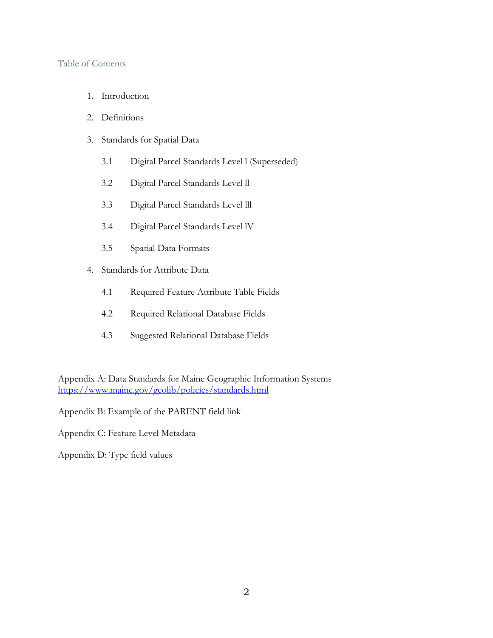#### Table of Contents

- 1. Introduction
- 2. Definitions
- 3. Standards for Spatial Data
	- 3.1 Digital Parcel Standards Level l (Superseded)
	- 3.2 Digital Parcel Standards Level ll
	- 3.3 Digital Parcel Standards Level lll
	- 3.4 Digital Parcel Standards Level lV
	- 3.5 Spatial Data Formats
- 4. Standards for Attribute Data
	- 4.1 Required Feature Attribute Table Fields
	- 4.2 Required Relational Database Fields
	- 4.3 Suggested Relational Database Fields

Appendix A: Data Standards for Maine Geographic Information Systems <https://www.maine.gov/geolib/policies/standards.html>

Appendix B: Example of the PARENT field link

Appendix C: Feature Level Metadata

Appendix D: Type field values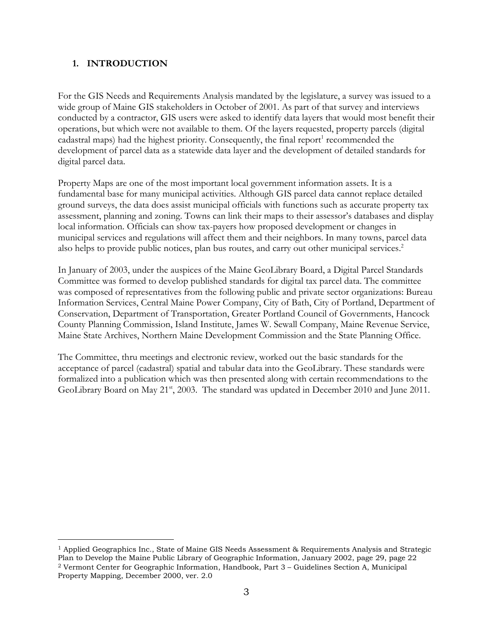## **1. INTRODUCTION**

 $\overline{a}$ 

For the GIS Needs and Requirements Analysis mandated by the legislature, a survey was issued to a wide group of Maine GIS stakeholders in October of 2001. As part of that survey and interviews conducted by a contractor, GIS users were asked to identify data layers that would most benefit their operations, but which were not available to them. Of the layers requested, property parcels (digital cadastral maps) had the highest priority. Consequently, the final report<sup>1</sup> recommended the development of parcel data as a statewide data layer and the development of detailed standards for digital parcel data.

Property Maps are one of the most important local government information assets. It is a fundamental base for many municipal activities. Although GIS parcel data cannot replace detailed ground surveys, the data does assist municipal officials with functions such as accurate property tax assessment, planning and zoning. Towns can link their maps to their assessor's databases and display local information. Officials can show tax-payers how proposed development or changes in municipal services and regulations will affect them and their neighbors. In many towns, parcel data also helps to provide public notices, plan bus routes, and carry out other municipal services. 2

In January of 2003, under the auspices of the Maine GeoLibrary Board, a Digital Parcel Standards Committee was formed to develop published standards for digital tax parcel data. The committee was composed of representatives from the following public and private sector organizations: Bureau Information Services, Central Maine Power Company, City of Bath, City of Portland, Department of Conservation, Department of Transportation, Greater Portland Council of Governments, Hancock County Planning Commission, Island Institute, James W. Sewall Company, Maine Revenue Service, Maine State Archives, Northern Maine Development Commission and the State Planning Office.

The Committee, thru meetings and electronic review, worked out the basic standards for the acceptance of parcel (cadastral) spatial and tabular data into the GeoLibrary. These standards were formalized into a publication which was then presented along with certain recommendations to the GeoLibrary Board on May 21<sup>st</sup>, 2003. The standard was updated in December 2010 and June 2011.

<sup>1</sup> Applied Geographics Inc., State of Maine GIS Needs Assessment & Requirements Analysis and Strategic Plan to Develop the Maine Public Library of Geographic Information, January 2002, page 29, page 22 <sup>2</sup> Vermont Center for Geographic Information, Handbook, Part 3 – Guidelines Section A, Municipal Property Mapping, December 2000, ver. 2.0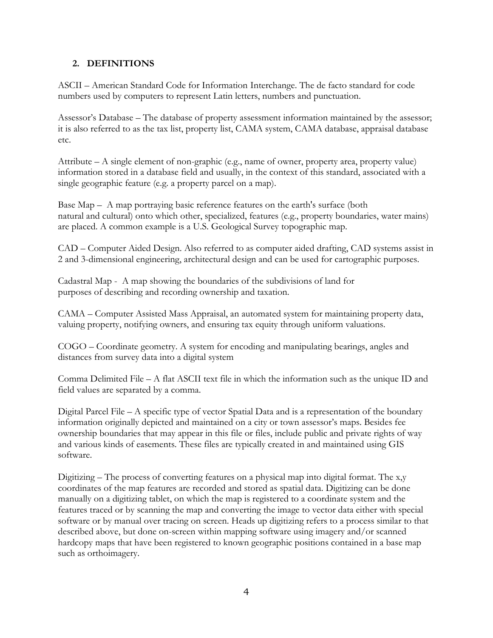## **2. DEFINITIONS**

ASCII – American Standard Code for Information Interchange. The de facto standard for code numbers used by computers to represent Latin letters, numbers and punctuation.

Assessor's Database – The database of property assessment information maintained by the assessor; it is also referred to as the tax list, property list, CAMA system, CAMA database, appraisal database etc.

Attribute – A single element of non-graphic (e.g., name of owner, property area, property value) information stored in a database field and usually, in the context of this standard, associated with a single geographic feature (e.g. a property parcel on a map).

Base Map – A map portraying basic reference features on the earth's surface (both natural and cultural) onto which other, specialized, features (e.g., property boundaries, water mains) are placed. A common example is a U.S. Geological Survey topographic map.

CAD – Computer Aided Design. Also referred to as computer aided drafting, CAD systems assist in 2 and 3-dimensional engineering, architectural design and can be used for cartographic purposes.

Cadastral Map -A map showing the boundaries of the subdivisions of land for purposes of describing and recording ownership and taxation.

CAMA – Computer Assisted Mass Appraisal, an automated system for maintaining property data, valuing property, notifying owners, and ensuring tax equity through uniform valuations.

COGO – Coordinate geometry. A system for encoding and manipulating bearings, angles and distances from survey data into a digital system

Comma Delimited File – A flat ASCII text file in which the information such as the unique ID and field values are separated by a comma.

Digital Parcel File – A specific type of vector Spatial Data and is a representation of the boundary information originally depicted and maintained on a city or town assessor's maps. Besides fee ownership boundaries that may appear in this file or files, include public and private rights of way and various kinds of easements. These files are typically created in and maintained using GIS software.

Digitizing – The process of converting features on a physical map into digital format. The x,y coordinates of the map features are recorded and stored as spatial data. Digitizing can be done manually on a digitizing tablet, on which the map is registered to a coordinate system and the features traced or by scanning the map and converting the image to vector data either with special software or by manual over tracing on screen. Heads up digitizing refers to a process similar to that described above, but done on-screen within mapping software using imagery and/or scanned hardcopy maps that have been registered to known geographic positions contained in a base map such as orthoimagery.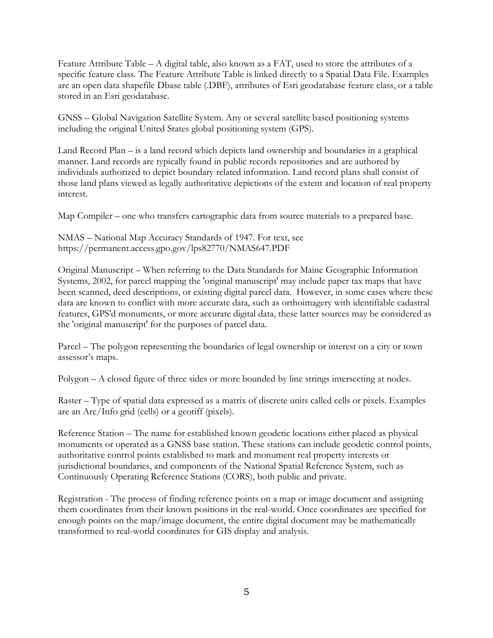Feature Attribute Table – A digital table, also known as a FAT, used to store the attributes of a specific feature class. The Feature Attribute Table is linked directly to a Spatial Data File. Examples are an open data shapefile Dbase table (.DBF), attributes of Esri geodatabase feature class, or a table stored in an Esri geodatabase.

GNSS – Global Navigation Satellite System. Any or several satellite based positioning systems including the original United States global positioning system (GPS).

Land Record Plan – is a land record which depicts land ownership and boundaries in a graphical manner. Land records are typically found in public records repositories and are authored by individuals authorized to depict boundary related information. Land record plans shall consist of those land plans viewed as legally authoritative depictions of the extent and location of real property interest.

Map Compiler – one who transfers cartographic data from source materials to a prepared base.

NMAS – National Map Accuracy Standards of 1947. For text, see https://permanent.access.gpo.gov/lps82770/NMAS647.PDF

Original Manuscript – When referring to the Data Standards for Maine Geographic Information Systems, 2002, for parcel mapping the 'original manuscript' may include paper tax maps that have been scanned, deed descriptions, or existing digital parcel data. However, in some cases where these data are known to conflict with more accurate data, such as orthoimagery with identifiable cadastral features, GPS'd monuments, or more accurate digital data, these latter sources may be considered as the 'original manuscript' for the purposes of parcel data.

Parcel – The polygon representing the boundaries of legal ownership or interest on a city or town assessor's maps.

Polygon – A closed figure of three sides or more bounded by line strings intersecting at nodes.

Raster – Type of spatial data expressed as a matrix of discrete units called cells or pixels. Examples are an Arc/Info grid (cells) or a geotiff (pixels).

Reference Station – The name for established known geodetic locations either placed as physical monuments or operated as a GNSS base station. These stations can include geodetic control points, authoritative control points established to mark and monument real property interests or jurisdictional boundaries, and components of the National Spatial Reference System, such as Continuously Operating Reference Stations (CORS), both public and private.

Registration - The process of finding reference points on a map or image document and assigning them coordinates from their known positions in the real-world. Once coordinates are specified for enough points on the map/image document, the entire digital document may be mathematically transformed to real-world coordinates for GIS display and analysis.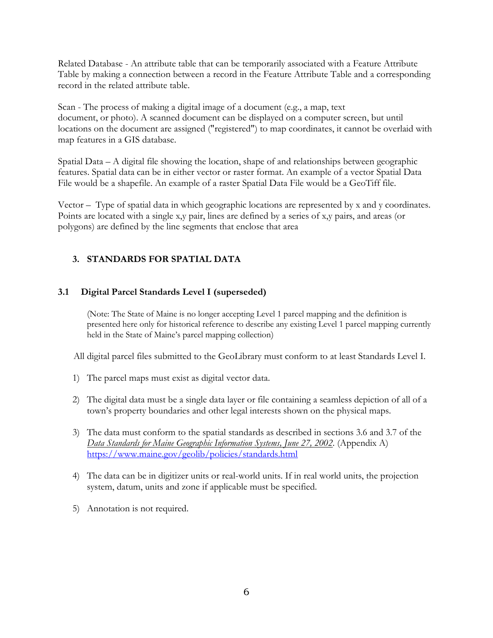Related Database - An attribute table that can be temporarily associated with a Feature Attribute Table by making a connection between a record in the Feature Attribute Table and a corresponding record in the related attribute table.

Scan - The process of making a digital image of a document (e.g., a map, text document, or photo). A scanned document can be displayed on a computer screen, but until locations on the document are assigned ("registered") to map coordinates, it cannot be overlaid with map features in a GIS database.

Spatial Data – A digital file showing the location, shape of and relationships between geographic features. Spatial data can be in either vector or raster format. An example of a vector Spatial Data File would be a shapefile. An example of a raster Spatial Data File would be a GeoTiff file.

Vector – Type of spatial data in which geographic locations are represented by x and y coordinates. Points are located with a single x,y pair, lines are defined by a series of x,y pairs, and areas (or polygons) are defined by the line segments that enclose that area

## **3. STANDARDS FOR SPATIAL DATA**

## **3.1 Digital Parcel Standards Level I (superseded)**

(Note: The State of Maine is no longer accepting Level 1 parcel mapping and the definition is presented here only for historical reference to describe any existing Level 1 parcel mapping currently held in the State of Maine's parcel mapping collection)

All digital parcel files submitted to the GeoLibrary must conform to at least Standards Level I.

- 1) The parcel maps must exist as digital vector data.
- 2) The digital data must be a single data layer or file containing a seamless depiction of all of a town's property boundaries and other legal interests shown on the physical maps.
- 3) The data must conform to the spatial standards as described in sections 3.6 and 3.7 of the *Data Standards for Maine Geographic Information Systems, June 27, 2002*. (Appendix A) <https://www.maine.gov/geolib/policies/standards.html>
- 4) The data can be in digitizer units or real-world units. If in real world units, the projection system, datum, units and zone if applicable must be specified.
- 5) Annotation is not required.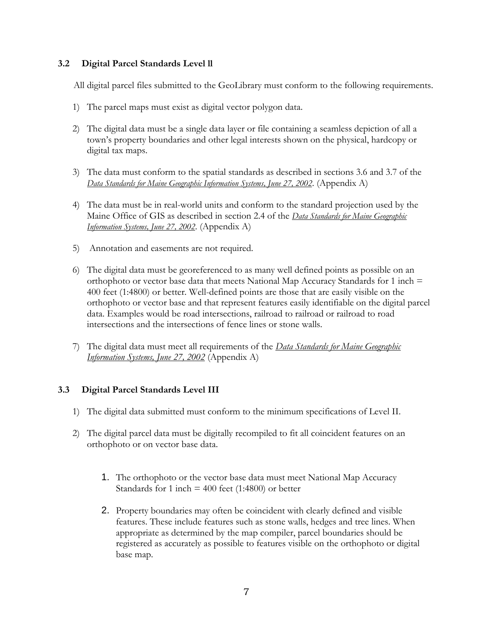## **3.2 Digital Parcel Standards Level ll**

All digital parcel files submitted to the GeoLibrary must conform to the following requirements.

- 1) The parcel maps must exist as digital vector polygon data.
- 2) The digital data must be a single data layer or file containing a seamless depiction of all a town's property boundaries and other legal interests shown on the physical, hardcopy or digital tax maps.
- 3) The data must conform to the spatial standards as described in sections 3.6 and 3.7 of the *Data Standards for Maine Geographic Information Systems, June 27, 2002*. (Appendix A)
- 4) The data must be in real-world units and conform to the standard projection used by the Maine Office of GIS as described in section 2.4 of the *Data Standards for Maine Geographic Information Systems, June 27, 2002*. (Appendix A)
- 5) Annotation and easements are not required.
- 6) The digital data must be georeferenced to as many well defined points as possible on an orthophoto or vector base data that meets National Map Accuracy Standards for 1 inch  $=$ 400 feet (1:4800) or better. Well-defined points are those that are easily visible on the orthophoto or vector base and that represent features easily identifiable on the digital parcel data. Examples would be road intersections, railroad to railroad or railroad to road intersections and the intersections of fence lines or stone walls.
- 7) The digital data must meet all requirements of the *Data Standards for Maine Geographic Information Systems, June 27, 2002* (Appendix A)

## **3.3 Digital Parcel Standards Level III**

- 1) The digital data submitted must conform to the minimum specifications of Level II.
- 2) The digital parcel data must be digitally recompiled to fit all coincident features on an orthophoto or on vector base data.
	- 1. The orthophoto or the vector base data must meet National Map Accuracy Standards for 1 inch  $=$  400 feet (1:4800) or better
	- 2. Property boundaries may often be coincident with clearly defined and visible features. These include features such as stone walls, hedges and tree lines. When appropriate as determined by the map compiler, parcel boundaries should be registered as accurately as possible to features visible on the orthophoto or digital base map.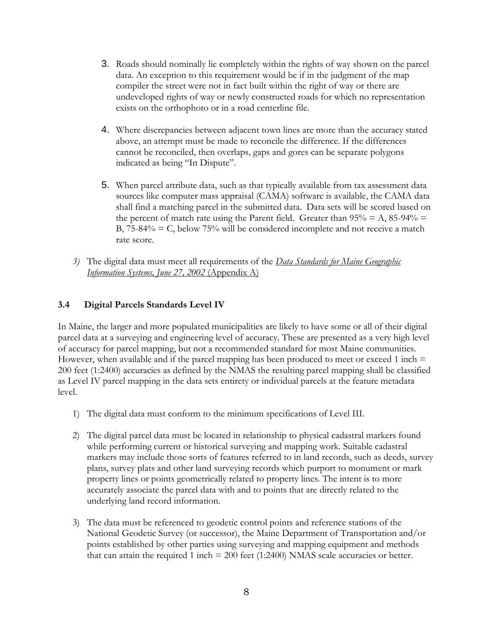- 3. Roads should nominally lie completely within the rights of way shown on the parcel data. An exception to this requirement would be if in the judgment of the map compiler the street were not in fact built within the right of way or there are undeveloped rights of way or newly constructed roads for which no representation exists on the orthophoto or in a road centerline file.
- 4. Where discrepancies between adjacent town lines are more than the accuracy stated above, an attempt must be made to reconcile the difference. If the differences cannot be reconciled, then overlaps, gaps and gores can be separate polygons indicated as being "In Dispute".
- 5. When parcel attribute data, such as that typically available from tax assessment data sources like computer mass appraisal (CAMA) software is available, the CAMA data shall find a matching parcel in the submitted data. Data sets will be scored based on the percent of match rate using the Parent field. Greater than  $95\% = A$ ,  $85-94\% =$ B,  $75-84\%$  = C, below  $75\%$  will be considered incomplete and not receive a match rate score.
- *3)* The digital data must meet all requirements of the *Data Standards for Maine Geographic Information Systems, June 27, 2002* (Appendix A)

## **3.4 Digital Parcels Standards Level IV**

In Maine, the larger and more populated municipalities are likely to have some or all of their digital parcel data at a surveying and engineering level of accuracy. These are presented as a very high level of accuracy for parcel mapping, but not a recommended standard for most Maine communities. However, when available and if the parcel mapping has been produced to meet or exceed 1 inch  $=$ 200 feet (1:2400) accuracies as defined by the NMAS the resulting parcel mapping shall be classified as Level IV parcel mapping in the data sets entirety or individual parcels at the feature metadata level.

- 1) The digital data must conform to the minimum specifications of Level III.
- 2) The digital parcel data must be located in relationship to physical cadastral markers found while performing current or historical surveying and mapping work. Suitable cadastral markers may include those sorts of features referred to in land records, such as deeds, survey plans, survey plats and other land surveying records which purport to monument or mark property lines or points geometrically related to property lines. The intent is to more accurately associate the parcel data with and to points that are directly related to the underlying land record information.
- 3) The data must be referenced to geodetic control points and reference stations of the National Geodetic Survey (or successor), the Maine Department of Transportation and/or points established by other parties using surveying and mapping equipment and methods that can attain the required 1 inch  $= 200$  feet (1:2400) NMAS scale accuracies or better.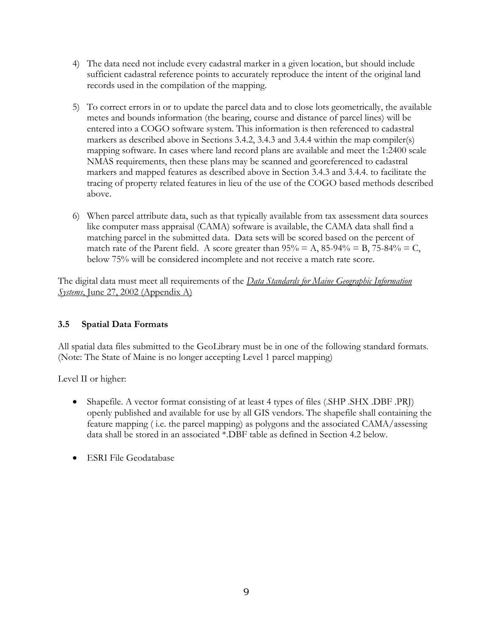- 4) The data need not include every cadastral marker in a given location, but should include sufficient cadastral reference points to accurately reproduce the intent of the original land records used in the compilation of the mapping.
- 5) To correct errors in or to update the parcel data and to close lots geometrically, the available metes and bounds information (the bearing, course and distance of parcel lines) will be entered into a COGO software system. This information is then referenced to cadastral markers as described above in Sections 3.4.2, 3.4.3 and 3.4.4 within the map compiler(s) mapping software. In cases where land record plans are available and meet the 1:2400 scale NMAS requirements, then these plans may be scanned and georeferenced to cadastral markers and mapped features as described above in Section 3.4.3 and 3.4.4. to facilitate the tracing of property related features in lieu of the use of the COGO based methods described above.
- 6) When parcel attribute data, such as that typically available from tax assessment data sources like computer mass appraisal (CAMA) software is available, the CAMA data shall find a matching parcel in the submitted data. Data sets will be scored based on the percent of match rate of the Parent field. A score greater than  $95\% = A$ ,  $85-94\% = B$ ,  $75-84\% = C$ , below 75% will be considered incomplete and not receive a match rate score.

The digital data must meet all requirements of the *Data Standards for Maine Geographic Information Systems*, June 27, 2002 (Appendix A)

## **3.5 Spatial Data Formats**

All spatial data files submitted to the GeoLibrary must be in one of the following standard formats. (Note: The State of Maine is no longer accepting Level 1 parcel mapping)

Level II or higher:

- Shapefile. A vector format consisting of at least 4 types of files (.SHP .SHX .DBF .PRJ) openly published and available for use by all GIS vendors. The shapefile shall containing the feature mapping ( i.e. the parcel mapping) as polygons and the associated CAMA/assessing data shall be stored in an associated \*.DBF table as defined in Section 4.2 below.
- ESRI File Geodatabase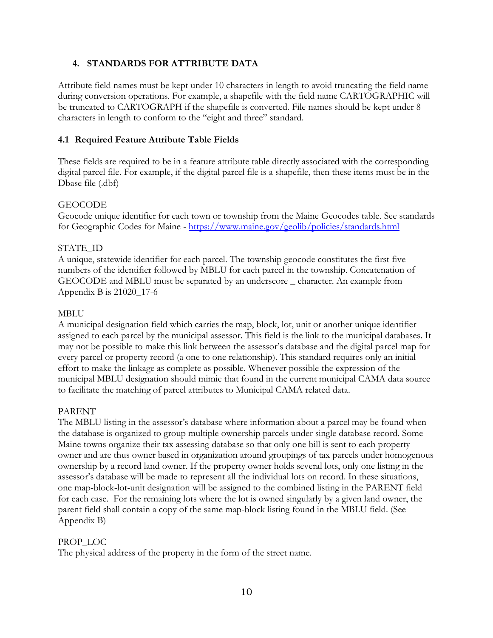## **4. STANDARDS FOR ATTRIBUTE DATA**

Attribute field names must be kept under 10 characters in length to avoid truncating the field name during conversion operations. For example, a shapefile with the field name CARTOGRAPHIC will be truncated to CARTOGRAPH if the shapefile is converted. File names should be kept under 8 characters in length to conform to the "eight and three" standard.

## **4.1 Required Feature Attribute Table Fields**

These fields are required to be in a feature attribute table directly associated with the corresponding digital parcel file. For example, if the digital parcel file is a shapefile, then these items must be in the Dbase file (.dbf)

#### **GEOCODE**

Geocode unique identifier for each town or township from the Maine Geocodes table. See standards for Geographic Codes for Maine - <https://www.maine.gov/geolib/policies/standards.html>

## STATE\_ID

A unique, statewide identifier for each parcel. The township geocode constitutes the first five numbers of the identifier followed by MBLU for each parcel in the township. Concatenation of GEOCODE and MBLU must be separated by an underscore \_ character. An example from Appendix B is 21020\_17-6

## MBLU

A municipal designation field which carries the map, block, lot, unit or another unique identifier assigned to each parcel by the municipal assessor. This field is the link to the municipal databases. It may not be possible to make this link between the assessor's database and the digital parcel map for every parcel or property record (a one to one relationship). This standard requires only an initial effort to make the linkage as complete as possible. Whenever possible the expression of the municipal MBLU designation should mimic that found in the current municipal CAMA data source to facilitate the matching of parcel attributes to Municipal CAMA related data.

## PARENT

The MBLU listing in the assessor's database where information about a parcel may be found when the database is organized to group multiple ownership parcels under single database record. Some Maine towns organize their tax assessing database so that only one bill is sent to each property owner and are thus owner based in organization around groupings of tax parcels under homogenous ownership by a record land owner. If the property owner holds several lots, only one listing in the assessor's database will be made to represent all the individual lots on record. In these situations, one map-block-lot-unit designation will be assigned to the combined listing in the PARENT field for each case. For the remaining lots where the lot is owned singularly by a given land owner, the parent field shall contain a copy of the same map-block listing found in the MBLU field. (See Appendix B)

## PROP\_LOC

The physical address of the property in the form of the street name.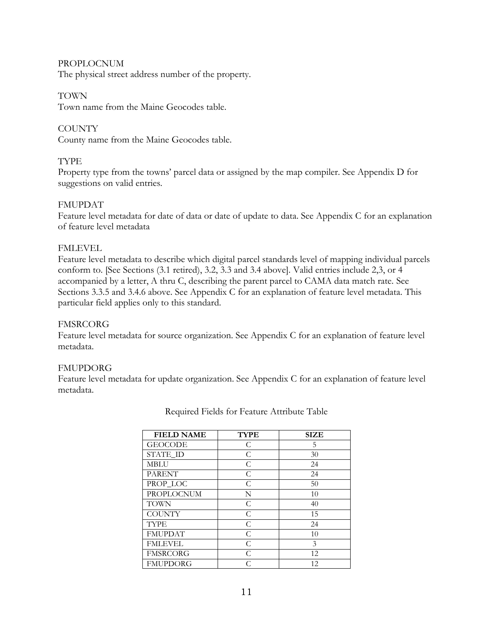#### PROPLOCNUM

The physical street address number of the property.

#### TOWN

Town name from the Maine Geocodes table.

## **COUNTY**

County name from the Maine Geocodes table.

## TYPE

Property type from the towns' parcel data or assigned by the map compiler. See Appendix D for suggestions on valid entries.

#### FMUPDAT

Feature level metadata for date of data or date of update to data. See Appendix C for an explanation of feature level metadata

## FMLEVEL

Feature level metadata to describe which digital parcel standards level of mapping individual parcels conform to. [See Sections (3.1 retired), 3.2, 3.3 and 3.4 above]. Valid entries include 2,3, or 4 accompanied by a letter, A thru C, describing the parent parcel to CAMA data match rate. See Sections 3.3.5 and 3.4.6 above. See Appendix C for an explanation of feature level metadata. This particular field applies only to this standard.

#### FMSRCORG

Feature level metadata for source organization. See Appendix C for an explanation of feature level metadata.

## FMUPDORG

Feature level metadata for update organization. See Appendix C for an explanation of feature level metadata.

| <b>FIELD NAME</b> | <b>TYPE</b> | <b>SIZE</b> |
|-------------------|-------------|-------------|
| <b>GEOCODE</b>    | C           | 5           |
| STATE ID          | C           | 30          |
| <b>MBLU</b>       | C           | 24          |
| <b>PARENT</b>     | C           | 24          |
| PROP_LOC          | C           | 50          |
| <b>PROPLOCNUM</b> | N           | 10          |
| <b>TOWN</b>       | C           | 40          |
| <b>COUNTY</b>     | C           | 15          |
| <b>TYPE</b>       | C           | 24          |
| <b>FMUPDAT</b>    | C           | 10          |
| <b>FMLEVEL</b>    | C           | 3           |
| <b>FMSRCORG</b>   | C           | 12          |
| <b>FMUPDORG</b>   | ⊂           | 12.         |

Required Fields for Feature Attribute Table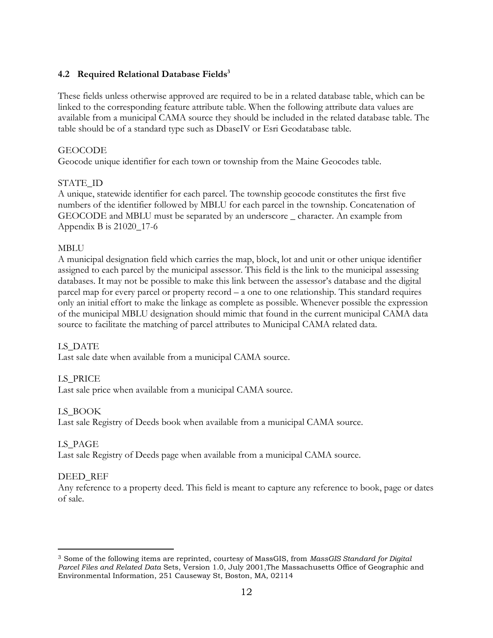## **4.2 Required Relational Database Fields<sup>3</sup>**

These fields unless otherwise approved are required to be in a related database table, which can be linked to the corresponding feature attribute table. When the following attribute data values are available from a municipal CAMA source they should be included in the related database table. The table should be of a standard type such as DbaseIV or Esri Geodatabase table.

## GEOCODE

Geocode unique identifier for each town or township from the Maine Geocodes table.

## STATE\_ID

A unique, statewide identifier for each parcel. The township geocode constitutes the first five numbers of the identifier followed by MBLU for each parcel in the township. Concatenation of GEOCODE and MBLU must be separated by an underscore \_ character. An example from Appendix B is 21020\_17-6

## MBLU

A municipal designation field which carries the map, block, lot and unit or other unique identifier assigned to each parcel by the municipal assessor. This field is the link to the municipal assessing databases. It may not be possible to make this link between the assessor's database and the digital parcel map for every parcel or property record – a one to one relationship. This standard requires only an initial effort to make the linkage as complete as possible. Whenever possible the expression of the municipal MBLU designation should mimic that found in the current municipal CAMA data source to facilitate the matching of parcel attributes to Municipal CAMA related data.

## LS\_DATE

Last sale date when available from a municipal CAMA source.

## LS\_PRICE

Last sale price when available from a municipal CAMA source.

## LS\_BOOK

Last sale Registry of Deeds book when available from a municipal CAMA source.

## LS\_PAGE

Last sale Registry of Deeds page when available from a municipal CAMA source.

## DEED REF

 $\overline{a}$ 

Any reference to a property deed. This field is meant to capture any reference to book, page or dates of sale.

<sup>3</sup> Some of the following items are reprinted, courtesy of MassGIS, from *MassGIS Standard for Digital Parcel Files and Related Data* Sets, Version 1.0, July 2001,The Massachusetts Office of Geographic and Environmental Information, 251 Causeway St, Boston, MA, 02114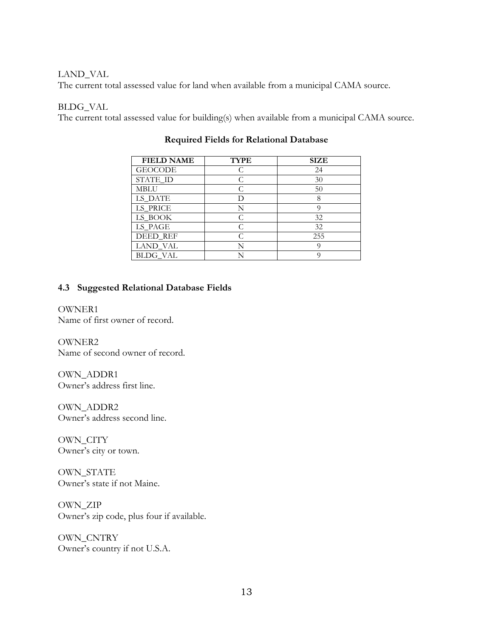#### LAND\_VAL

The current total assessed value for land when available from a municipal CAMA source.

#### BLDG\_VAL

The current total assessed value for building(s) when available from a municipal CAMA source.

| <b>FIELD NAME</b> | <b>TYPE</b> | <b>SIZE</b> |
|-------------------|-------------|-------------|
| <b>GEOCODE</b>    |             | 24          |
| STATE_ID          |             | 30          |
| MBLU              |             | 50          |
| LS_DATE           |             | 8           |
| LS_PRICE          |             |             |
| LS_BOOK           |             | 32          |
| LS_PAGE           |             | 32          |
| DEED_REF          |             | 255         |
| LAND VAL          |             |             |
| BLDG VAL          |             |             |

## **Required Fields for Relational Database**

#### **4.3 Suggested Relational Database Fields**

OWNER1 Name of first owner of record.

OWNER2 Name of second owner of record.

OWN\_ADDR1 Owner's address first line.

OWN\_ADDR2 Owner's address second line.

OWN\_CITY Owner's city or town.

OWN\_STATE Owner's state if not Maine.

OWN\_ZIP Owner's zip code, plus four if available.

OWN\_CNTRY Owner's country if not U.S.A.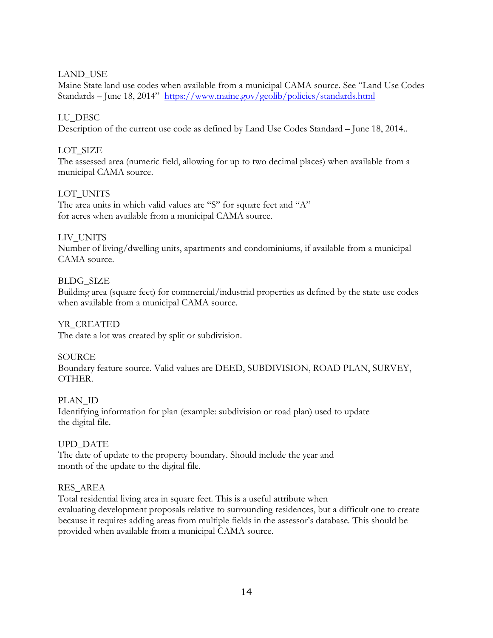## LAND\_USE

Maine State land use codes when available from a municipal CAMA source. See "Land Use Codes Standards – June 18, 2014" <https://www.maine.gov/geolib/policies/standards.html>

## LU\_DESC

Description of the current use code as defined by Land Use Codes Standard – June 18, 2014..

## LOT SIZE

The assessed area (numeric field, allowing for up to two decimal places) when available from a municipal CAMA source.

## LOT\_UNITS

The area units in which valid values are "S" for square feet and "A" for acres when available from a municipal CAMA source.

## LIV\_UNITS

Number of living/dwelling units, apartments and condominiums, if available from a municipal CAMA source.

## BLDG\_SIZE

Building area (square feet) for commercial/industrial properties as defined by the state use codes when available from a municipal CAMA source.

## YR\_CREATED

The date a lot was created by split or subdivision.

## **SOURCE**

Boundary feature source. Valid values are DEED, SUBDIVISION, ROAD PLAN, SURVEY, OTHER.

## PLAN\_ID

Identifying information for plan (example: subdivision or road plan) used to update the digital file.

## UPD\_DATE

The date of update to the property boundary. Should include the year and month of the update to the digital file.

## RES\_AREA

Total residential living area in square feet. This is a useful attribute when evaluating development proposals relative to surrounding residences, but a difficult one to create because it requires adding areas from multiple fields in the assessor's database. This should be provided when available from a municipal CAMA source.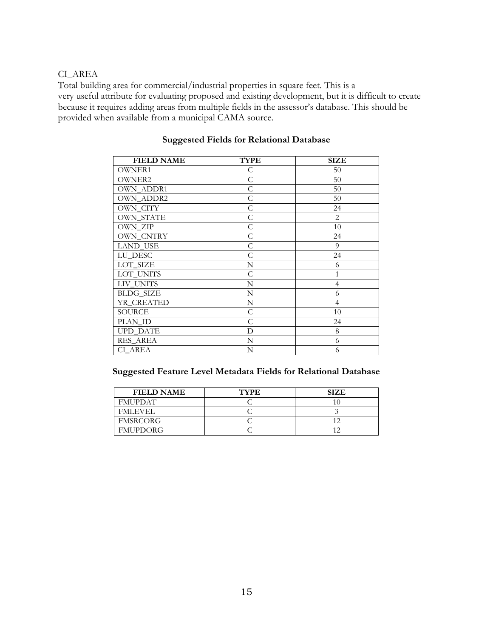## CI\_AREA

Total building area for commercial/industrial properties in square feet. This is a very useful attribute for evaluating proposed and existing development, but it is difficult to create because it requires adding areas from multiple fields in the assessor's database. This should be provided when available from a municipal CAMA source.

| <b>FIELD NAME</b> | <b>TYPE</b>  | SIZE           |  |
|-------------------|--------------|----------------|--|
| <b>OWNER1</b>     | С            | 50             |  |
| <b>OWNER2</b>     | $\mathsf C$  | 50             |  |
| OWN_ADDR1         | $\mathsf C$  | 50             |  |
| OWN_ADDR2         | $\mathsf{C}$ | 50             |  |
| OWN_CITY          | $\mathsf C$  | 24             |  |
| <b>OWN_STATE</b>  | $\mathsf C$  | 2              |  |
| OWN_ZIP           | $\mathsf C$  | 10             |  |
| <b>OWN CNTRY</b>  | $\mathsf{C}$ | 24             |  |
| <b>LAND USE</b>   | $\mathsf{C}$ | 9              |  |
| LU_DESC           | $\mathsf{C}$ | 24             |  |
| LOT_SIZE          | N            | 6              |  |
| LOT_UNITS         | $\mathsf{C}$ | 1              |  |
| LIV UNITS         | N            | $\overline{4}$ |  |
| <b>BLDG_SIZE</b>  | N            | 6              |  |
| YR_CREATED        | N            | $\overline{4}$ |  |
| <b>SOURCE</b>     | C            | 10             |  |
| PLAN_ID           | $\mathsf{C}$ | 24             |  |
| <b>UPD_DATE</b>   | D            | 8              |  |
| RES_AREA          | N            | 6              |  |
| CI AREA           | N            | 6              |  |

## **Suggested Fields for Relational Database**

#### **Suggested Feature Level Metadata Fields for Relational Database**

| <b>FIELD NAME</b> | <b>TYPE</b> | <b>SIZE</b> |
|-------------------|-------------|-------------|
| <b>FMUPDAT</b>    |             |             |
| <b>FMLEVEL</b>    |             |             |
| <b>FMSRCORG</b>   |             |             |
| <b>FMUPDORG</b>   |             |             |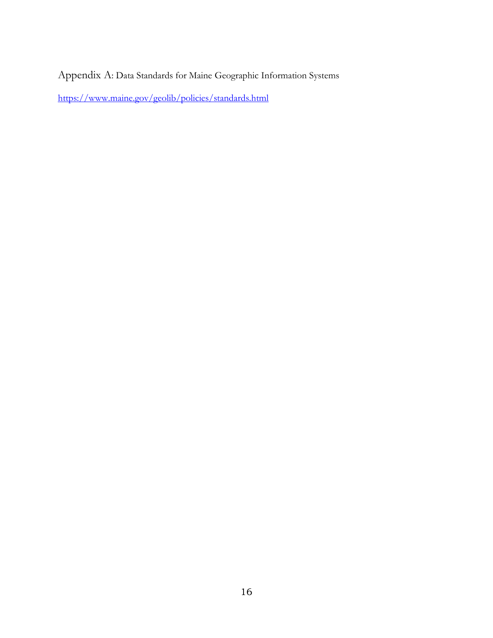Appendix A: Data Standards for Maine Geographic Information Systems

<https://www.maine.gov/geolib/policies/standards.html>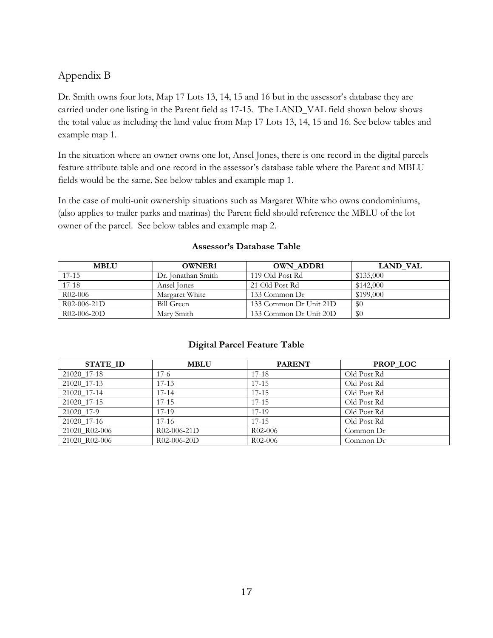## Appendix B

Dr. Smith owns four lots, Map 17 Lots 13, 14, 15 and 16 but in the assessor's database they are carried under one listing in the Parent field as 17-15. The LAND\_VAL field shown below shows the total value as including the land value from Map 17 Lots 13, 14, 15 and 16. See below tables and example map 1.

In the situation where an owner owns one lot, Ansel Jones, there is one record in the digital parcels feature attribute table and one record in the assessor's database table where the Parent and MBLU fields would be the same. See below tables and example map 1.

In the case of multi-unit ownership situations such as Margaret White who owns condominiums, (also applies to trailer parks and marinas) the Parent field should reference the MBLU of the lot owner of the parcel. See below tables and example map 2.

| <b>MBLU</b>   | <b>OWNER1</b>      | <b>OWN ADDR1</b>       | <b>LAND VAL</b> |
|---------------|--------------------|------------------------|-----------------|
| $17 - 15$     | Dr. Ionathan Smith | 119 Old Post Rd        | \$135,000       |
| $17-18$       | Ansel Iones        | 21 Old Post Rd         | \$142,000       |
| $R$ 02-006    | Margaret White     | 133 Common Dr          | \$199,000       |
| $R02-006-21D$ | Bill Green         | 133 Common Dr Unit 21D | \$0             |
| $R02-006-20D$ | Mary Smith         | 133 Common Dr Unit 20D | \$0             |

## **Assessor's Database Table**

## **Digital Parcel Feature Table**

| <b>STATE ID</b> | <b>MBLU</b>   | <b>PARENT</b> | <b>PROP LOC</b> |
|-----------------|---------------|---------------|-----------------|
| 21020 17-18     | $17-6$        | $17 - 18$     | Old Post Rd     |
| 21020 17-13     | $17-13$       | $17 - 15$     | Old Post Rd     |
| 21020 17-14     | $17 - 14$     | $17 - 15$     | Old Post Rd     |
| 21020 17-15     | $17 - 15$     | $17 - 15$     | Old Post Rd     |
| 21020 17-9      | 17-19         | 17-19         | Old Post Rd     |
| 21020 17-16     | $17-16$       | $17 - 15$     | Old Post Rd     |
| 21020 R02-006   | $R02-006-21D$ | $R02-006$     | Common $Dr$     |
| 21020 R02-006   | $R02-006-20D$ | $R02-006$     | Common $Dr$     |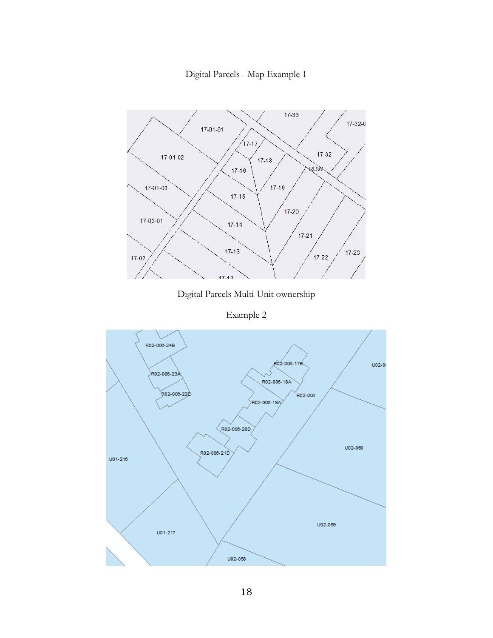Digital Parcels - Map Example 1



Digital Parcels Multi-Unit ownership

Example 2

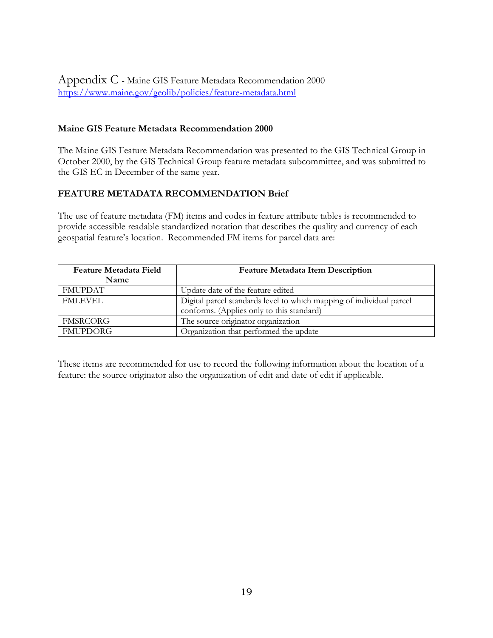Appendix C - Maine GIS Feature Metadata Recommendation 2000 <https://www.maine.gov/geolib/policies/feature-metadata.html>

## **Maine GIS Feature Metadata Recommendation 2000**

The Maine GIS Feature Metadata Recommendation was presented to the GIS Technical Group in October 2000, by the GIS Technical Group feature metadata subcommittee, and was submitted to the GIS EC in December of the same year.

## **FEATURE METADATA RECOMMENDATION Brief**

The use of feature metadata (FM) items and codes in feature attribute tables is recommended to provide accessible readable standardized notation that describes the quality and currency of each geospatial feature's location. Recommended FM items for parcel data are:

| <b>Feature Metadata Field</b> | <b>Feature Metadata Item Description</b>                             |  |  |
|-------------------------------|----------------------------------------------------------------------|--|--|
| Name                          |                                                                      |  |  |
| <b>FMUPDAT</b>                | Update date of the feature edited                                    |  |  |
| <b>FMLEVEL</b>                | Digital parcel standards level to which mapping of individual parcel |  |  |
|                               | conforms. (Applies only to this standard)                            |  |  |
| FMSRCORG                      | The source originator organization                                   |  |  |
| <b>FMUPDORG</b>               | Organization that performed the update                               |  |  |

These items are recommended for use to record the following information about the location of a feature: the source originator also the organization of edit and date of edit if applicable.